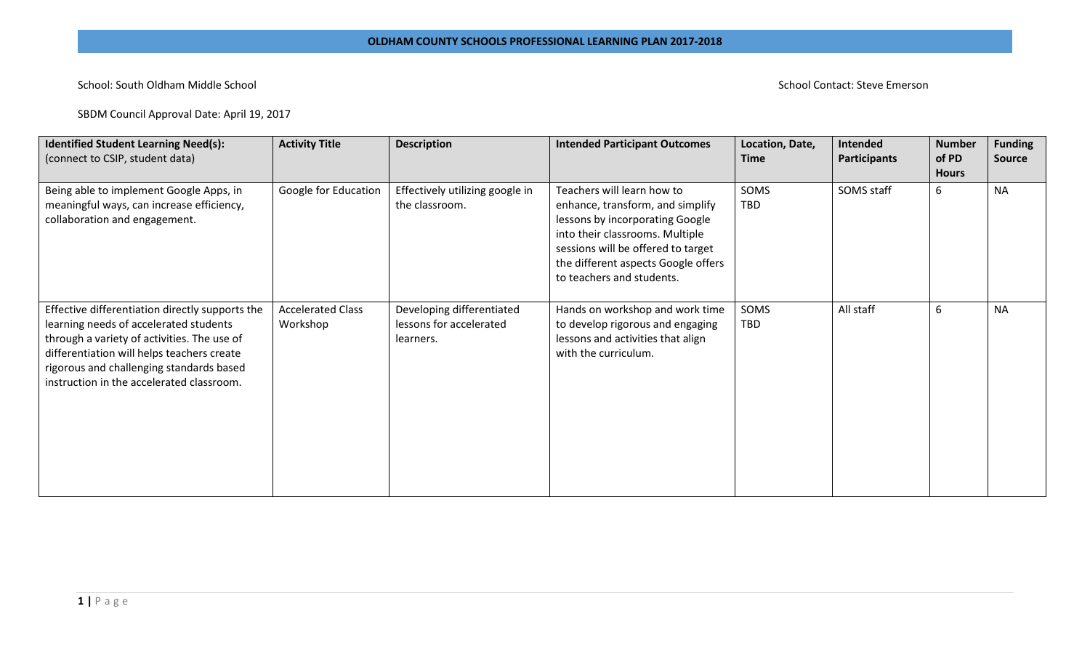## School: South Oldham Middle School **School Contact: Steve Emerson**

SBDM Council Approval Date: April 19, 2017

| <b>Identified Student Learning Need(s):</b><br>(connect to CSIP, student data)                                                                                                                                                                                                  | <b>Activity Title</b>                | <b>Description</b>                                                | <b>Intended Participant Outcomes</b>                                                                                                                                                                                                           | Location, Date,<br><b>Time</b> | <b>Intended</b><br>Participants | <b>Number</b><br>of PD<br><b>Hours</b> | <b>Funding</b><br>Source |
|---------------------------------------------------------------------------------------------------------------------------------------------------------------------------------------------------------------------------------------------------------------------------------|--------------------------------------|-------------------------------------------------------------------|------------------------------------------------------------------------------------------------------------------------------------------------------------------------------------------------------------------------------------------------|--------------------------------|---------------------------------|----------------------------------------|--------------------------|
| Being able to implement Google Apps, in<br>meaningful ways, can increase efficiency,<br>collaboration and engagement.                                                                                                                                                           | Google for Education                 | Effectively utilizing google in<br>the classroom.                 | Teachers will learn how to<br>enhance, transform, and simplify<br>lessons by incorporating Google<br>into their classrooms. Multiple<br>sessions will be offered to target<br>the different aspects Google offers<br>to teachers and students. | SOMS<br>TBD                    | SOMS staff                      | 6                                      | <b>NA</b>                |
| Effective differentiation directly supports the<br>learning needs of accelerated students<br>through a variety of activities. The use of<br>differentiation will helps teachers create<br>rigorous and challenging standards based<br>instruction in the accelerated classroom. | <b>Accelerated Class</b><br>Workshop | Developing differentiated<br>lessons for accelerated<br>learners. | Hands on workshop and work time<br>to develop rigorous and engaging<br>lessons and activities that align<br>with the curriculum.                                                                                                               | SOMS<br>TBD                    | All staff                       | 6                                      | <b>NA</b>                |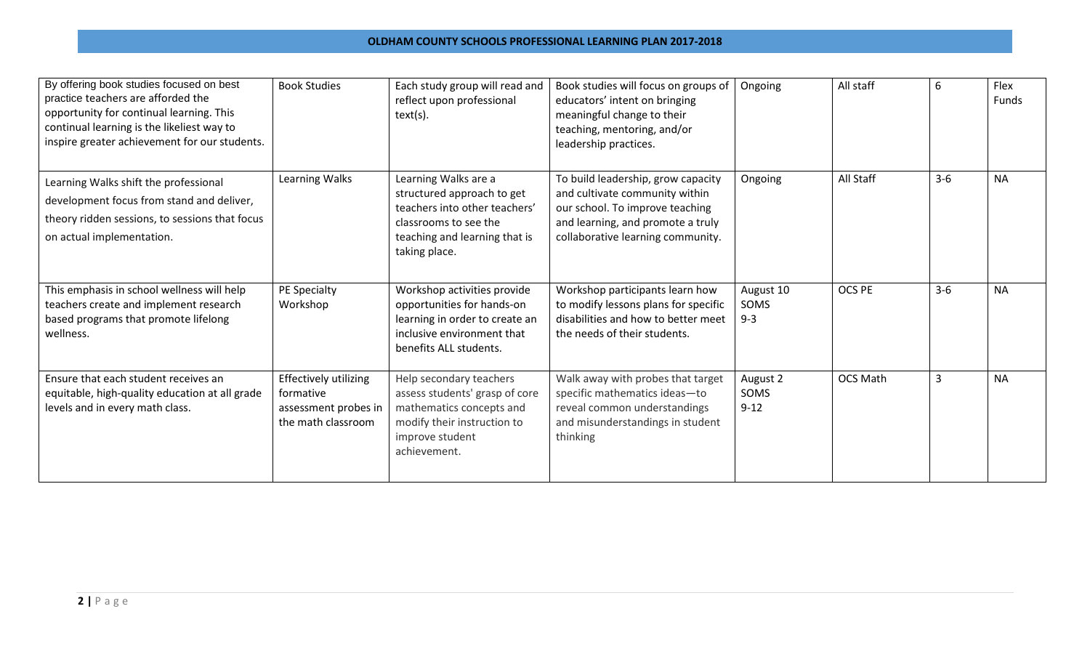## **OLDHAM COUNTY SCHOOLS PROFESSIONAL LEARNING PLAN 2017-2018**

| By offering book studies focused on best<br>practice teachers are afforded the<br>opportunity for continual learning. This<br>continual learning is the likeliest way to<br>inspire greater achievement for our students. | <b>Book Studies</b>                                                              | Each study group will read and<br>reflect upon professional<br>$text(s)$ .                                                                                     | Book studies will focus on groups of<br>educators' intent on bringing<br>meaningful change to their<br>teaching, mentoring, and/or<br>leadership practices.                       | Ongoing                      | All staff       | 6     | Flex<br>Funds |
|---------------------------------------------------------------------------------------------------------------------------------------------------------------------------------------------------------------------------|----------------------------------------------------------------------------------|----------------------------------------------------------------------------------------------------------------------------------------------------------------|-----------------------------------------------------------------------------------------------------------------------------------------------------------------------------------|------------------------------|-----------------|-------|---------------|
| Learning Walks shift the professional<br>development focus from stand and deliver,<br>theory ridden sessions, to sessions that focus<br>on actual implementation.                                                         | Learning Walks                                                                   | Learning Walks are a<br>structured approach to get<br>teachers into other teachers'<br>classrooms to see the<br>teaching and learning that is<br>taking place. | To build leadership, grow capacity<br>and cultivate community within<br>our school. To improve teaching<br>and learning, and promote a truly<br>collaborative learning community. | Ongoing                      | All Staff       | $3-6$ | <b>NA</b>     |
| This emphasis in school wellness will help<br>teachers create and implement research<br>based programs that promote lifelong<br>wellness.                                                                                 | PE Specialty<br>Workshop                                                         | Workshop activities provide<br>opportunities for hands-on<br>learning in order to create an<br>inclusive environment that<br>benefits ALL students.            | Workshop participants learn how<br>to modify lessons plans for specific<br>disabilities and how to better meet<br>the needs of their students.                                    | August 10<br>SOMS<br>$9 - 3$ | OCS PE          | $3-6$ | <b>NA</b>     |
| Ensure that each student receives an<br>equitable, high-quality education at all grade<br>levels and in every math class.                                                                                                 | Effectively utilizing<br>formative<br>assessment probes in<br>the math classroom | Help secondary teachers<br>assess students' grasp of core<br>mathematics concepts and<br>modify their instruction to<br>improve student<br>achievement.        | Walk away with probes that target<br>specific mathematics ideas-to<br>reveal common understandings<br>and misunderstandings in student<br>thinking                                | August 2<br>SOMS<br>$9 - 12$ | <b>OCS Math</b> | 3     | <b>NA</b>     |